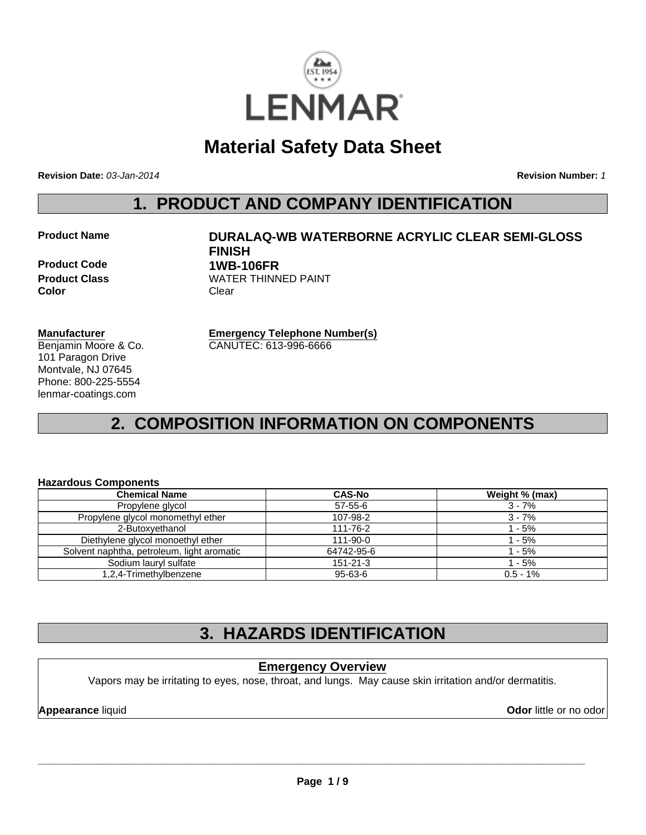

## **Material Safety Data Sheet**

**Revision Date:** *03-Jan-2014*

**Revision Number:** *1*

### **1. PRODUCT AND COMPANY IDENTIFICATION**

### **Product Name DURALAQ-WB WATERBORNE ACRYLIC CLEAR SEMI-GLOSS FINISH Product Code 1WB-106FR Product Class WATER THINNED PAINT**

**Manufacturer** Benjamin Moore & Co. 101 Paragon Drive Montvale, NJ 07645 Phone: 800-225-5554 lenmar-coatings.com

**Color** Clear

**Emergency Telephone Number(s)** CANUTEC: 613-996-6666

### **2. COMPOSITION INFORMATION ON COMPONENTS**

#### **Hazardous Components**

| <b>Chemical Name</b>                       | <b>CAS-No</b>  | Weight % (max) |
|--------------------------------------------|----------------|----------------|
| Propylene glycol                           | $57 - 55 - 6$  | $3 - 7%$       |
| Propylene glycol monomethyl ether          | 107-98-2       | 3 - 7%         |
| 2-Butoxyethanol                            | 111-76-2       | $1 - 5%$       |
| Diethylene glycol monoethyl ether          | $111 - 90 - 0$ | 1 - 5%         |
| Solvent naphtha, petroleum, light aromatic | 64742-95-6     | 1 - 5%         |
| Sodium lauryl sulfate                      | $151 - 21 - 3$ | 1 - 5%         |
| 1,2,4-Trimethylbenzene                     | 95-63-6        | $0.5 - 1\%$    |

### **3. HAZARDS IDENTIFICATION**

### **Emergency Overview**

Vapors may be irritating to eyes, nose, throat, and lungs. May cause skin irritation and/or dermatitis.

**Appearance liquid Odor in the original of the contract of the contract of the contract of the contract of the contract of the contract of the contract of the contract of the contract of the contract of the contract of t**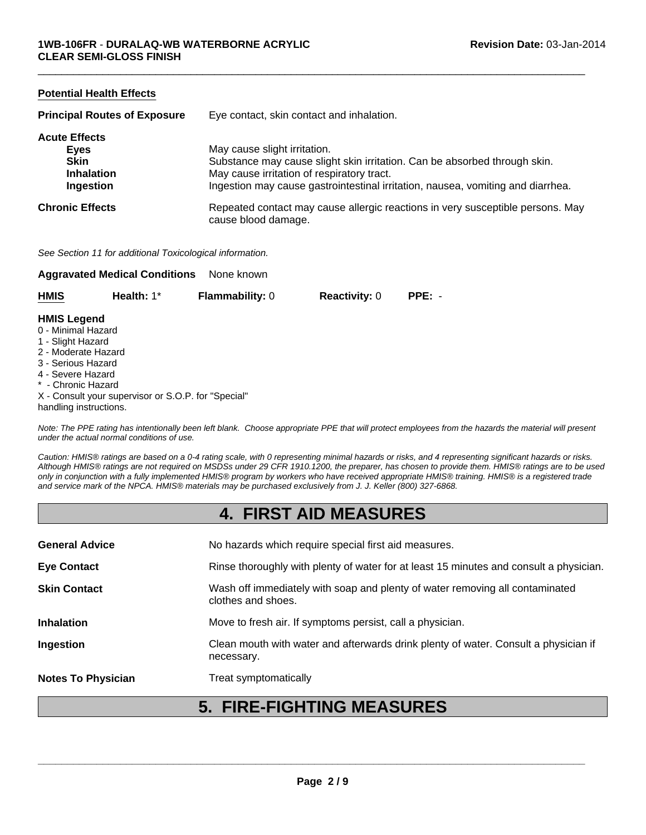| <b>Potential Health Effects</b>     |                                                                                                       |
|-------------------------------------|-------------------------------------------------------------------------------------------------------|
| <b>Principal Routes of Exposure</b> | Eye contact, skin contact and inhalation.                                                             |
| <b>Acute Effects</b>                |                                                                                                       |
| Eyes                                | May cause slight irritation.                                                                          |
| <b>Skin</b>                         | Substance may cause slight skin irritation. Can be absorbed through skin.                             |
| <b>Inhalation</b>                   | May cause irritation of respiratory tract.                                                            |
| Ingestion                           | Ingestion may cause gastrointestinal irritation, nausea, vomiting and diarrhea.                       |
| <b>Chronic Effects</b>              | Repeated contact may cause allergic reactions in very susceptible persons. May<br>cause blood damage. |
|                                     |                                                                                                       |

 $\Box$ 

*See Section 11 for additional Toxicological information.*

|                                         | <b>Aggravated Medical Conditions</b> | None known             |                      |          |
|-----------------------------------------|--------------------------------------|------------------------|----------------------|----------|
| <b>HMIS</b>                             | Health: $1^*$                        | <b>Flammability: 0</b> | <b>Reactivity: 0</b> | $PPE: -$ |
| <b>HMIS Legend</b>                      |                                      |                        |                      |          |
|                                         |                                      |                        |                      |          |
| 0 - Minimal Hazard<br>1 - Slight Hazard |                                      |                        |                      |          |

- 2 Moderate Hazard
- 3 Serious Hazard
- 4 Severe Hazard
- \* Chronic Hazard
- X Consult your supervisor or S.O.P. for "Special" handling instructions.

*Note: The PPE rating has intentionally been left blank. Choose appropriate PPE that will protect employees from the hazards the material will present under the actual normal conditions of use.*

*Caution: HMIS® ratings are based on a 0-4 rating scale, with 0 representing minimal hazards or risks, and 4 representing significant hazards or risks. Although HMIS® ratings are not required on MSDSs under 29 CFR 1910.1200, the preparer, has chosen to provide them. HMIS® ratings are to be used only in conjunction with a fully implemented HMIS® program by workers who have received appropriate HMIS® training. HMIS® is a registered trade and service mark of the NPCA. HMIS® materials may be purchased exclusively from J. J. Keller (800) 327-6868.*

### **4. FIRST AID MEASURES**

| <b>Notes To Physician</b> | Treat symptomatically                                                                              |
|---------------------------|----------------------------------------------------------------------------------------------------|
| Ingestion                 | Clean mouth with water and afterwards drink plenty of water. Consult a physician if<br>necessary.  |
| <b>Inhalation</b>         | Move to fresh air. If symptoms persist, call a physician.                                          |
| <b>Skin Contact</b>       | Wash off immediately with soap and plenty of water removing all contaminated<br>clothes and shoes. |
| <b>Eye Contact</b>        | Rinse thoroughly with plenty of water for at least 15 minutes and consult a physician.             |
| <b>General Advice</b>     | No hazards which require special first aid measures.                                               |
|                           |                                                                                                    |

### **5. FIRE-FIGHTING MEASURES**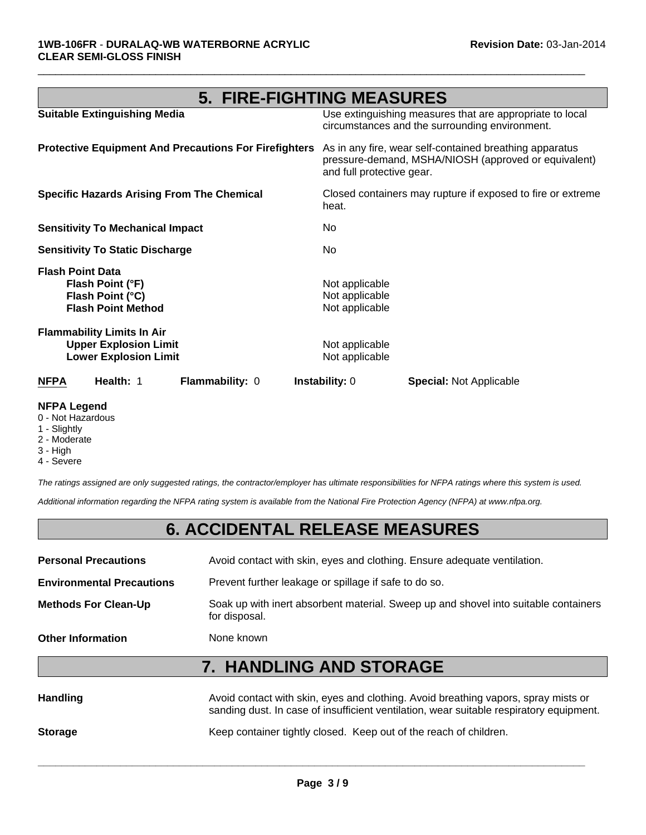| <b>5. FIRE-FIGHTING MEASURES</b>                                                                  |                                                                                                                                              |  |
|---------------------------------------------------------------------------------------------------|----------------------------------------------------------------------------------------------------------------------------------------------|--|
| <b>Suitable Extinguishing Media</b>                                                               | Use extinguishing measures that are appropriate to local<br>circumstances and the surrounding environment.                                   |  |
| <b>Protective Equipment And Precautions For Firefighters</b>                                      | As in any fire, wear self-contained breathing apparatus<br>pressure-demand, MSHA/NIOSH (approved or equivalent)<br>and full protective gear. |  |
| <b>Specific Hazards Arising From The Chemical</b>                                                 | Closed containers may rupture if exposed to fire or extreme<br>heat.                                                                         |  |
| <b>Sensitivity To Mechanical Impact</b>                                                           | No.                                                                                                                                          |  |
| <b>Sensitivity To Static Discharge</b>                                                            | No                                                                                                                                           |  |
| <b>Flash Point Data</b><br>Flash Point (°F)<br>Flash Point (°C)<br><b>Flash Point Method</b>      | Not applicable<br>Not applicable<br>Not applicable                                                                                           |  |
| <b>Flammability Limits In Air</b><br><b>Upper Explosion Limit</b><br><b>Lower Explosion Limit</b> | Not applicable<br>Not applicable                                                                                                             |  |
| Health: 1<br><b>NFPA</b><br><b>Flammability: 0</b>                                                | <b>Instability:</b> 0<br><b>Special:</b> Not Applicable                                                                                      |  |

 $\Box$ 

#### **NFPA Legend**

- 0 Not Hazardous
- 1 Slightly
- 2 Moderate
- 3 High
- 4 Severe

*The ratings assigned are only suggested ratings, the contractor/employer has ultimate responsibilities for NFPA ratings where this system is used.*

*Additional information regarding the NFPA rating system is available from the National Fire Protection Agency (NFPA) at www.nfpa.org.*

### **6. ACCIDENTAL RELEASE MEASURES**

| <b>Personal Precautions</b>      | Avoid contact with skin, eyes and clothing. Ensure adequate ventilation.                             |
|----------------------------------|------------------------------------------------------------------------------------------------------|
| <b>Environmental Precautions</b> | Prevent further leakage or spillage if safe to do so.                                                |
| <b>Methods For Clean-Up</b>      | Soak up with inert absorbent material. Sweep up and shovel into suitable containers<br>for disposal. |
| <b>Other Information</b>         | None known                                                                                           |

### **7. HANDLING AND STORAGE**

| <b>Handling</b> | Avoid contact with skin, eyes and clothing. Avoid breathing vapors, spray mists or<br>sanding dust. In case of insufficient ventilation, wear suitable respiratory equipment. |
|-----------------|-------------------------------------------------------------------------------------------------------------------------------------------------------------------------------|
| <b>Storage</b>  | Keep container tightly closed. Keep out of the reach of children.                                                                                                             |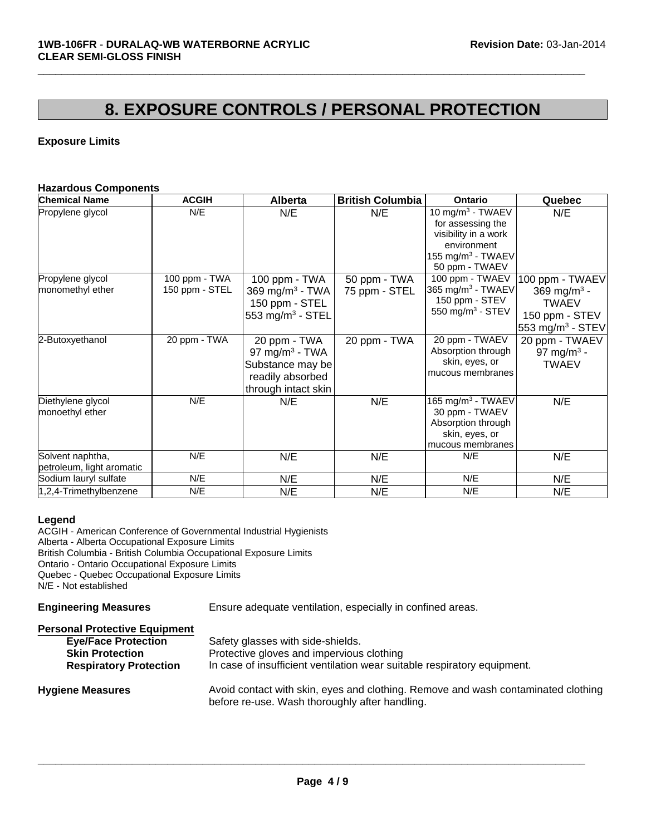### **8. EXPOSURE CONTROLS / PERSONAL PROTECTION**

 $\Box$ 

### **Exposure Limits**

#### **Hazardous Components**

| <b>Chemical Name</b>                          | <b>ACGIH</b>         | <b>Alberta</b>                                                                                            | <b>British Columbia</b> | <b>Ontario</b>                                                                                                                               | Quebec                                                                                    |
|-----------------------------------------------|----------------------|-----------------------------------------------------------------------------------------------------------|-------------------------|----------------------------------------------------------------------------------------------------------------------------------------------|-------------------------------------------------------------------------------------------|
| Propylene glycol<br>Propylene glycol          | N/E<br>100 ppm - TWA | N/E<br>100 ppm - TWA                                                                                      | N/E<br>50 ppm - TWA     | 10 mg/m $3$ - TWAEV<br>for assessing the<br>visibility in a work<br>environment<br>155 mg/m $3$ - TWAEV<br>50 ppm - TWAEV<br>100 ppm - TWAEV | N/E<br>100 ppm - TWAEV                                                                    |
| monomethyl ether                              | 150 ppm - STEL       | 369 mg/m <sup>3</sup> - TWA<br>150 ppm - STEL<br>553 mg/m <sup>3</sup> - STEL                             | 75 ppm - STEL           | 365 mg/m <sup>3</sup> - TWAEV<br>150 ppm - STEV<br>550 mg/m $3$ - STEV                                                                       | 369 mg/m <sup>3</sup> -<br><b>TWAEV</b><br>150 ppm - STEV<br>553 mg/m <sup>3</sup> - STEV |
| 2-Butoxyethanol                               | 20 ppm - TWA         | 20 ppm - TWA<br>97 mg/m <sup>3</sup> - TWA<br>Substance may be<br>readily absorbed<br>through intact skin | 20 ppm - TWA            | 20 ppm - TWAEV<br>Absorption through<br>skin, eyes, or<br>mucous membranes                                                                   | 20 ppm - TWAEV<br>97 mg/m <sup>3</sup> -<br><b>TWAEV</b>                                  |
| Diethylene glycol<br>monoethyl ether          | N/E                  | N/E                                                                                                       | N/E                     | $165$ mg/m <sup>3</sup> - TWAEV<br>30 ppm - TWAEV<br>Absorption through<br>skin, eyes, or<br>mucous membranes                                | N/E                                                                                       |
| Solvent naphtha,<br>petroleum, light aromatic | N/E                  | N/E                                                                                                       | N/E                     | N/E                                                                                                                                          | N/E                                                                                       |
| Sodium lauryl sulfate                         | N/E                  | N/E                                                                                                       | N/E                     | N/E                                                                                                                                          | N/E                                                                                       |
| 1,2,4-Trimethylbenzene                        | N/E                  | N/E                                                                                                       | N/E                     | N/E                                                                                                                                          | N/E                                                                                       |

#### **Legend**

ACGIH - American Conference of Governmental Industrial Hygienists Alberta - Alberta Occupational Exposure Limits British Columbia - British Columbia Occupational Exposure Limits Ontario - Ontario Occupational Exposure Limits Quebec - Quebec Occupational Exposure Limits N/E - Not established

**Engineering Measures** Ensure adequate ventilation, especially in confined areas.

| <b>Personal Protective Equipment</b>                                                  |                                                                                                                                                            |
|---------------------------------------------------------------------------------------|------------------------------------------------------------------------------------------------------------------------------------------------------------|
| <b>Eye/Face Protection</b><br><b>Skin Protection</b><br><b>Respiratory Protection</b> | Safety glasses with side-shields.<br>Protective gloves and impervious clothing<br>In case of insufficient ventilation wear suitable respiratory equipment. |
| <b>Hygiene Measures</b>                                                               | Avoid contact with skin, eyes and clothing. Remove and wash contaminated clothing<br>before re-use. Wash thoroughly after handling.                        |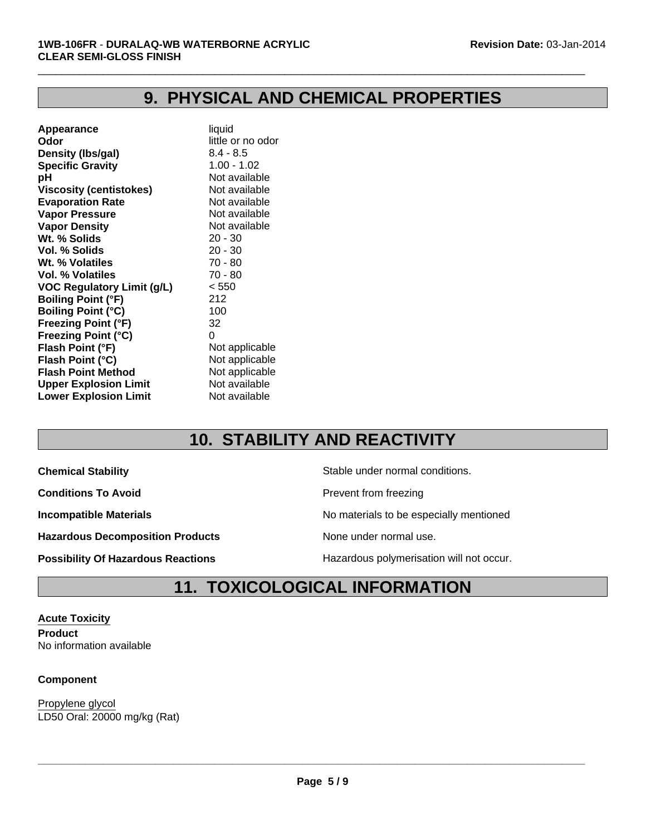### **9. PHYSICAL AND CHEMICAL PROPERTIES**

 $\Box$ 

| Appearance                        | liquid            |
|-----------------------------------|-------------------|
| Odor                              | little or no odor |
| Density (Ibs/gal)                 | $8.4 - 8.5$       |
| <b>Specific Gravity</b>           | $1.00 - 1.02$     |
| рH                                | Not available     |
| <b>Viscosity (centistokes)</b>    | Not available     |
| <b>Evaporation Rate</b>           | Not available     |
| <b>Vapor Pressure</b>             | Not available     |
| <b>Vapor Density</b>              | Not available     |
| Wt. % Solids                      | $20 - 30$         |
| Vol. % Solids                     | $20 - 30$         |
| Wt. % Volatiles                   | $70 - 80$         |
| Vol. % Volatiles                  | 70 - 80           |
| <b>VOC Regulatory Limit (g/L)</b> | < 550             |
| <b>Boiling Point (°F)</b>         | 212               |
| <b>Boiling Point (°C)</b>         | 100               |
| Freezing Point (°F)               | 32                |
| Freezing Point (°C)               | 0                 |
| Flash Point (°F)                  | Not applicable    |
| Flash Point (°C)                  | Not applicable    |
| <b>Flash Point Method</b>         | Not applicable    |
| <b>Upper Explosion Limit</b>      | Not available     |
| <b>Lower Explosion Limit</b>      | Not available     |
|                                   |                   |

# **10. STABILITY AND REACTIVITY**

**Conditions To Avoid Prevent from freezing** 

Hazardous Decomposition Products **None under normal use**.

**Chemical Stability Chemical Stability** Stable under normal conditions.

**Incompatible Materials No materials** No materials to be especially mentioned

**Possibility Of Hazardous Reactions Hazardous polymerisation will not occur.** 

### **11. TOXICOLOGICAL INFORMATION**

**Acute Toxicity Product** No information available

### **Component**

LD50 Oral: 20000 mg/kg (Rat) Propylene glycol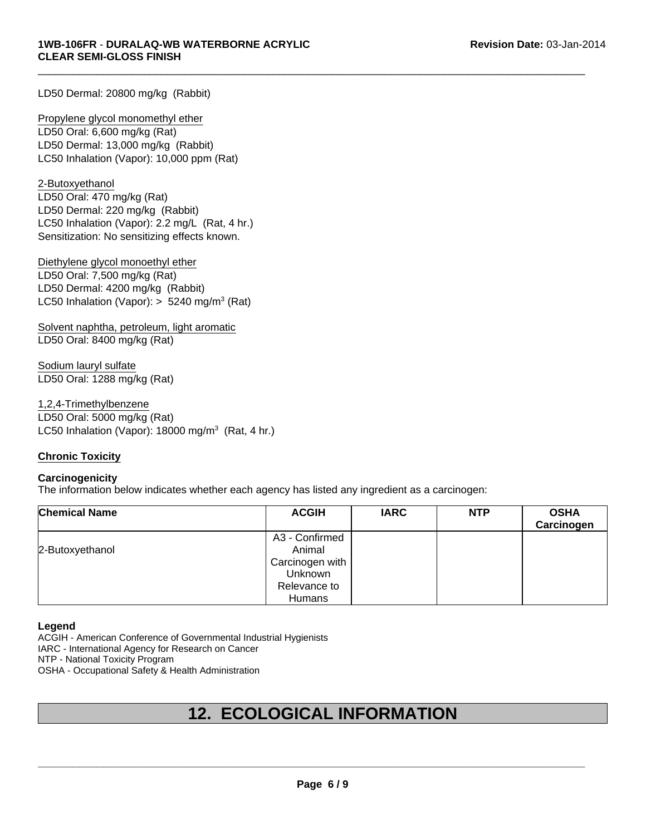LD50 Dermal: 20800 mg/kg (Rabbit)

LD50 Dermal: 13,000 mg/kg (Rabbit) LC50 Inhalation (Vapor): 10,000 ppm (Rat) Propylene glycol monomethyl ether LD50 Oral: 6,600 mg/kg (Rat)

Sensitization: No sensitizing effects known. 2-Butoxyethanol LD50 Oral: 470 mg/kg (Rat) LD50 Dermal: 220 mg/kg (Rabbit) LC50 Inhalation (Vapor): 2.2 mg/L (Rat, 4 hr.)

Diethylene glycol monoethyl ether LD50 Oral: 7,500 mg/kg (Rat) LD50 Dermal: 4200 mg/kg (Rabbit) LC50 Inhalation (Vapor):  $> 5240$  mg/m<sup>3</sup> (Rat)

Solvent naphtha, petroleum, light aromatic LD50 Oral: 8400 mg/kg (Rat)

Sodium lauryl sulfate LD50 Oral: 1288 mg/kg (Rat)

LC50 Inhalation (Vapor):  $18000 \text{ mg/m}^3$  (Rat, 4 hr.) 1,2,4-Trimethylbenzene LD50 Oral: 5000 mg/kg (Rat)

#### **Chronic Toxicity**

#### **Carcinogenicity**

The information below indicates whether each agency has listed any ingredient as a carcinogen:

| <b>Chemical Name</b> | <b>ACGIH</b>    | <b>IARC</b> | <b>NTP</b> | <b>OSHA</b><br>Carcinogen |
|----------------------|-----------------|-------------|------------|---------------------------|
|                      | A3 - Confirmed  |             |            |                           |
| 2-Butoxyethanol      | Animal          |             |            |                           |
|                      | Carcinogen with |             |            |                           |
|                      | <b>Unknown</b>  |             |            |                           |
|                      | Relevance to    |             |            |                           |
|                      | Humans          |             |            |                           |

 $\Box$ 

#### **Legend**

ACGIH - American Conference of Governmental Industrial Hygienists

IARC - International Agency for Research on Cancer

NTP - National Toxicity Program

OSHA - Occupational Safety & Health Administration

### **12. ECOLOGICAL INFORMATION**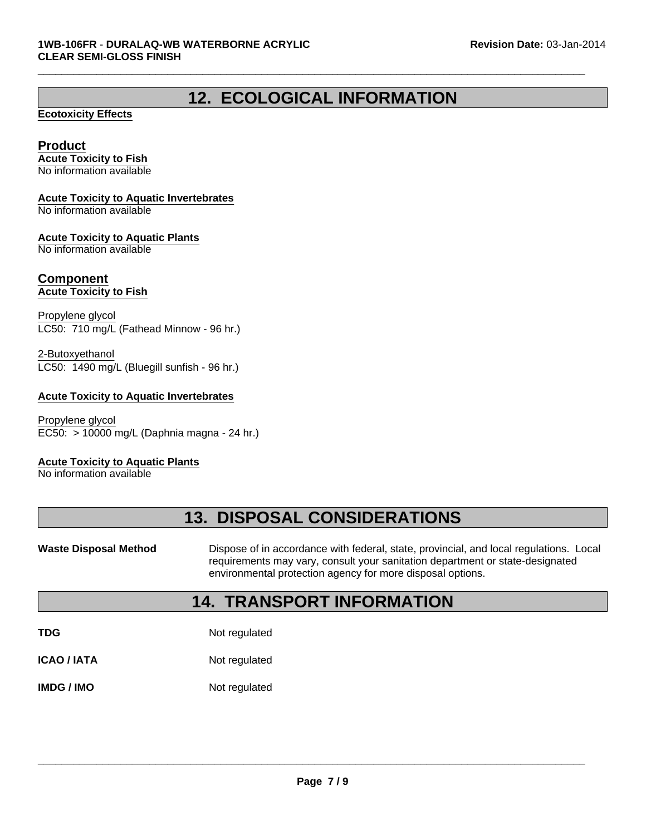### **12. ECOLOGICAL INFORMATION**

 $\Box$ 

### **Ecotoxicity Effects**

### **Product**

**Acute Toxicity to Fish** No information available

### **Acute Toxicity to Aquatic Invertebrates**

No information available

### **Acute Toxicity to Aquatic Plants**

No information available

#### **Component Acute Toxicity to Fish**

Propylene glycol LC50: 710 mg/L (Fathead Minnow - 96 hr.)

LC50: 1490 mg/L (Bluegill sunfish - 96 hr.) 2-Butoxyethanol

### **Acute Toxicity to Aquatic Invertebrates**

EC50: > 10000 mg/L (Daphnia magna - 24 hr.) Propylene glycol

#### **Acute Toxicity to Aquatic Plants**

No information available

### **13. DISPOSAL CONSIDERATIONS**

Waste Disposal Method **Dispose of in accordance with federal, state, provincial, and local regulations. Local** requirements may vary, consult your sanitation department or state-designated environmental protection agency for more disposal options.

### **14. TRANSPORT INFORMATION**

**TDG** Not regulated

**ICAO / IATA** Not regulated

**IMDG / IMO** Not regulated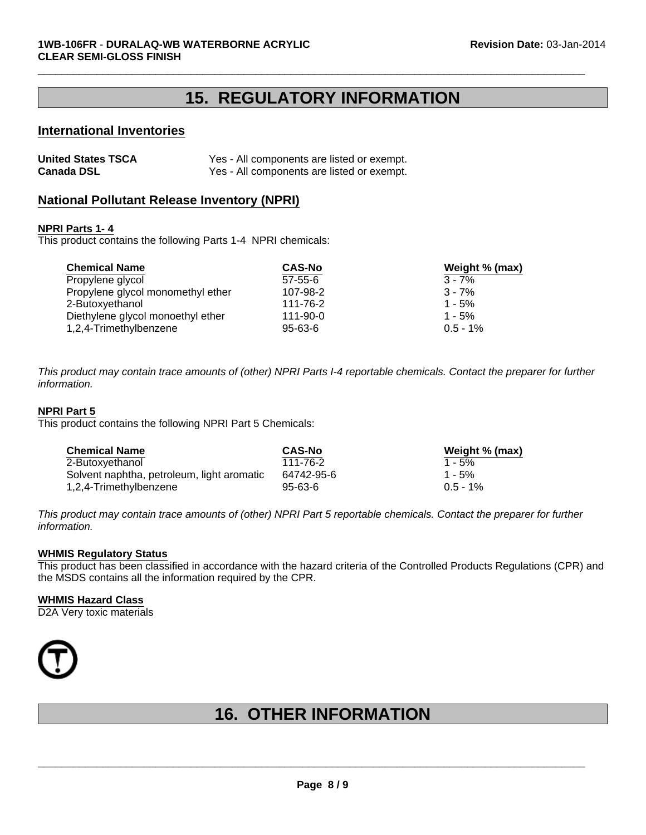### **15. REGULATORY INFORMATION**

 $\Box$ 

### **International Inventories**

| <b>United States TSCA</b> | Yes - All components are listed or exempt. |
|---------------------------|--------------------------------------------|
| <b>Canada DSL</b>         | Yes - All components are listed or exempt. |

### **National Pollutant Release Inventory (NPRI)**

#### **NPRI Parts 1- 4**

This product contains the following Parts 1-4 NPRI chemicals:

| <b>Chemical Name</b>              | <b>CAS-No</b> | Weight % (max) |
|-----------------------------------|---------------|----------------|
| Propylene glycol                  | $57 - 55 - 6$ | $3 - 7%$       |
| Propylene glycol monomethyl ether | 107-98-2      | $3 - 7%$       |
| 2-Butoxyethanol                   | 111-76-2      | $1 - 5%$       |
| Diethylene glycol monoethyl ether | 111-90-0      | $1 - 5%$       |
| 1,2,4-Trimethylbenzene            | $95 - 63 - 6$ | $0.5 - 1\%$    |

*This product may contain trace amounts of (other) NPRI Parts I-4 reportable chemicals. Contact the preparer for further information.*

#### **NPRI Part 5**

This product contains the following NPRI Part 5 Chemicals:

| <b>Chemical Name</b>                       | <b>CAS-No</b> | Weight % (max) |
|--------------------------------------------|---------------|----------------|
| 2-Butoxyethanol                            | 111-76-2      | $1 - 5%$       |
| Solvent naphtha, petroleum, light aromatic | 64742-95-6    | $1 - 5%$       |
| 1,2,4-Trimethylbenzene                     | $95 - 63 - 6$ | $0.5 - 1%$     |

*This product may contain trace amounts of (other) NPRI Part 5 reportable chemicals. Contact the preparer for further information.*

#### **WHMIS Regulatory Status**

This product has been classified in accordance with the hazard criteria of the Controlled Products Regulations (CPR) and the MSDS contains all the information required by the CPR.

#### **WHMIS Hazard Class**

D2A Very toxic materials



### **16. OTHER INFORMATION**